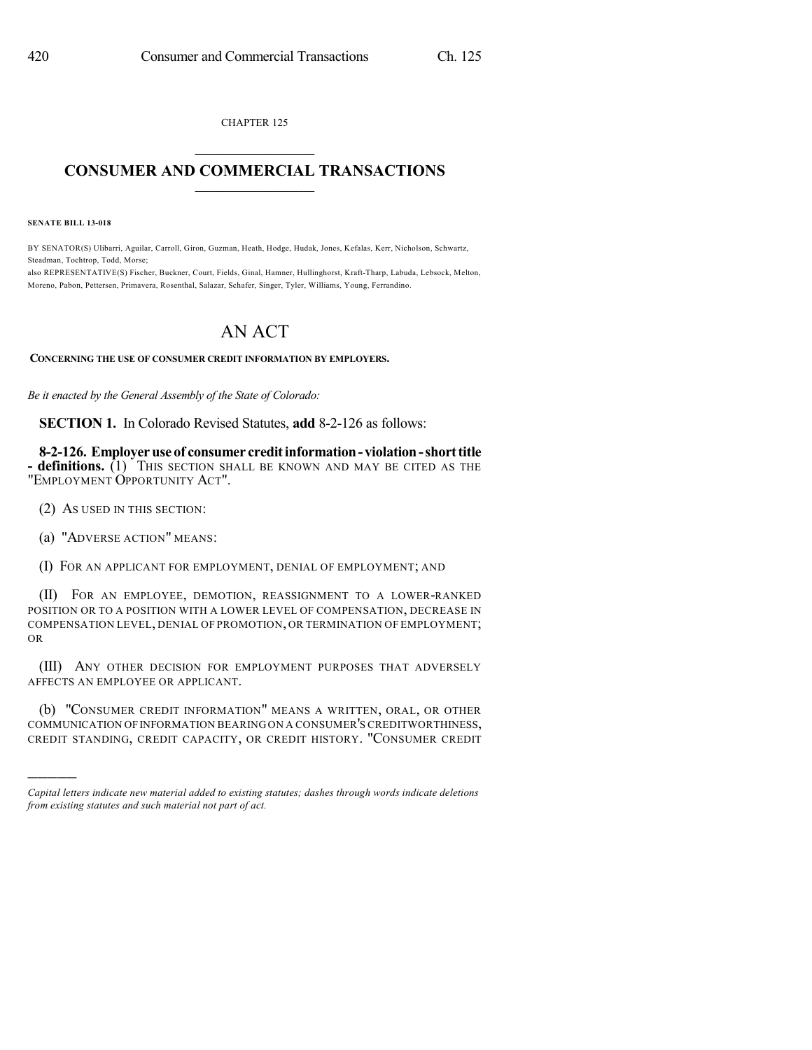CHAPTER 125

## $\mathcal{L}_\text{max}$  . The set of the set of the set of the set of the set of the set of the set of the set of the set of the set of the set of the set of the set of the set of the set of the set of the set of the set of the set **CONSUMER AND COMMERCIAL TRANSACTIONS**  $\frac{1}{2}$  ,  $\frac{1}{2}$  ,  $\frac{1}{2}$  ,  $\frac{1}{2}$  ,  $\frac{1}{2}$  ,  $\frac{1}{2}$

**SENATE BILL 13-018**

BY SENATOR(S) Ulibarri, Aguilar, Carroll, Giron, Guzman, Heath, Hodge, Hudak, Jones, Kefalas, Kerr, Nicholson, Schwartz, Steadman, Tochtrop, Todd, Morse;

also REPRESENTATIVE(S) Fischer, Buckner, Court, Fields, Ginal, Hamner, Hullinghorst, Kraft-Tharp, Labuda, Lebsock, Melton, Moreno, Pabon, Pettersen, Primavera, Rosenthal, Salazar, Schafer, Singer, Tyler, Williams, Young, Ferrandino.

## AN ACT

**CONCERNING THE USE OF CONSUMER CREDIT INFORMATION BY EMPLOYERS.**

*Be it enacted by the General Assembly of the State of Colorado:*

**SECTION 1.** In Colorado Revised Statutes, **add** 8-2-126 as follows:

**8-2-126. Employeruse of consumer creditinformation- violation-shorttitle - definitions.** (1) THIS SECTION SHALL BE KNOWN AND MAY BE CITED AS THE "EMPLOYMENT OPPORTUNITY ACT".

(2) AS USED IN THIS SECTION:

(a) "ADVERSE ACTION" MEANS:

)))))

(I) FOR AN APPLICANT FOR EMPLOYMENT, DENIAL OF EMPLOYMENT; AND

(II) FOR AN EMPLOYEE, DEMOTION, REASSIGNMENT TO A LOWER-RANKED POSITION OR TO A POSITION WITH A LOWER LEVEL OF COMPENSATION, DECREASE IN COMPENSATION LEVEL, DENIAL OF PROMOTION, OR TERMINATION OF EMPLOYMENT; OR

(III) ANY OTHER DECISION FOR EMPLOYMENT PURPOSES THAT ADVERSELY AFFECTS AN EMPLOYEE OR APPLICANT.

(b) "CONSUMER CREDIT INFORMATION" MEANS A WRITTEN, ORAL, OR OTHER COMMUNICATION OFINFORMATION BEARING ON A CONSUMER'S CREDITWORTHINESS, CREDIT STANDING, CREDIT CAPACITY, OR CREDIT HISTORY. "CONSUMER CREDIT

*Capital letters indicate new material added to existing statutes; dashes through words indicate deletions from existing statutes and such material not part of act.*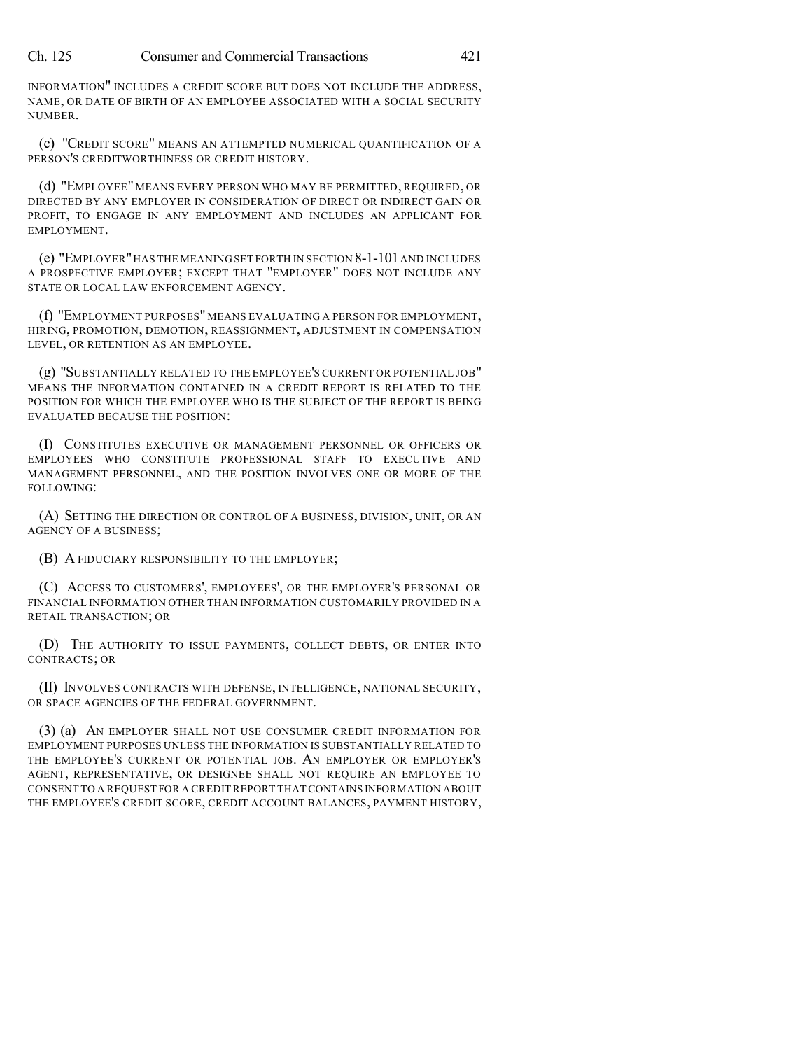INFORMATION" INCLUDES A CREDIT SCORE BUT DOES NOT INCLUDE THE ADDRESS, NAME, OR DATE OF BIRTH OF AN EMPLOYEE ASSOCIATED WITH A SOCIAL SECURITY NUMBER.

(c) "CREDIT SCORE" MEANS AN ATTEMPTED NUMERICAL QUANTIFICATION OF A PERSON'S CREDITWORTHINESS OR CREDIT HISTORY.

(d) "EMPLOYEE" MEANS EVERY PERSON WHO MAY BE PERMITTED, REQUIRED, OR DIRECTED BY ANY EMPLOYER IN CONSIDERATION OF DIRECT OR INDIRECT GAIN OR PROFIT, TO ENGAGE IN ANY EMPLOYMENT AND INCLUDES AN APPLICANT FOR EMPLOYMENT.

(e) "EMPLOYER"HAS THE MEANING SET FORTH IN SECTION 8-1-101AND INCLUDES A PROSPECTIVE EMPLOYER; EXCEPT THAT "EMPLOYER" DOES NOT INCLUDE ANY STATE OR LOCAL LAW ENFORCEMENT AGENCY.

(f) "EMPLOYMENT PURPOSES" MEANS EVALUATING A PERSON FOR EMPLOYMENT, HIRING, PROMOTION, DEMOTION, REASSIGNMENT, ADJUSTMENT IN COMPENSATION LEVEL, OR RETENTION AS AN EMPLOYEE.

(g) "SUBSTANTIALLY RELATED TO THE EMPLOYEE'S CURRENT OR POTENTIAL JOB" MEANS THE INFORMATION CONTAINED IN A CREDIT REPORT IS RELATED TO THE POSITION FOR WHICH THE EMPLOYEE WHO IS THE SUBJECT OF THE REPORT IS BEING EVALUATED BECAUSE THE POSITION:

(I) CONSTITUTES EXECUTIVE OR MANAGEMENT PERSONNEL OR OFFICERS OR EMPLOYEES WHO CONSTITUTE PROFESSIONAL STAFF TO EXECUTIVE AND MANAGEMENT PERSONNEL, AND THE POSITION INVOLVES ONE OR MORE OF THE FOLLOWING:

(A) SETTING THE DIRECTION OR CONTROL OF A BUSINESS, DIVISION, UNIT, OR AN AGENCY OF A BUSINESS;

(B) A FIDUCIARY RESPONSIBILITY TO THE EMPLOYER;

(C) ACCESS TO CUSTOMERS', EMPLOYEES', OR THE EMPLOYER'S PERSONAL OR FINANCIAL INFORMATION OTHER THAN INFORMATION CUSTOMARILY PROVIDED IN A RETAIL TRANSACTION; OR

(D) THE AUTHORITY TO ISSUE PAYMENTS, COLLECT DEBTS, OR ENTER INTO CONTRACTS; OR

(II) INVOLVES CONTRACTS WITH DEFENSE, INTELLIGENCE, NATIONAL SECURITY, OR SPACE AGENCIES OF THE FEDERAL GOVERNMENT.

(3) (a) AN EMPLOYER SHALL NOT USE CONSUMER CREDIT INFORMATION FOR EMPLOYMENT PURPOSES UNLESS THE INFORMATION IS SUBSTANTIALLY RELATED TO THE EMPLOYEE'S CURRENT OR POTENTIAL JOB. AN EMPLOYER OR EMPLOYER'S AGENT, REPRESENTATIVE, OR DESIGNEE SHALL NOT REQUIRE AN EMPLOYEE TO CONSENT TO A REQUEST FOR A CREDIT REPORT THAT CONTAINS INFORMATION ABOUT THE EMPLOYEE'S CREDIT SCORE, CREDIT ACCOUNT BALANCES, PAYMENT HISTORY,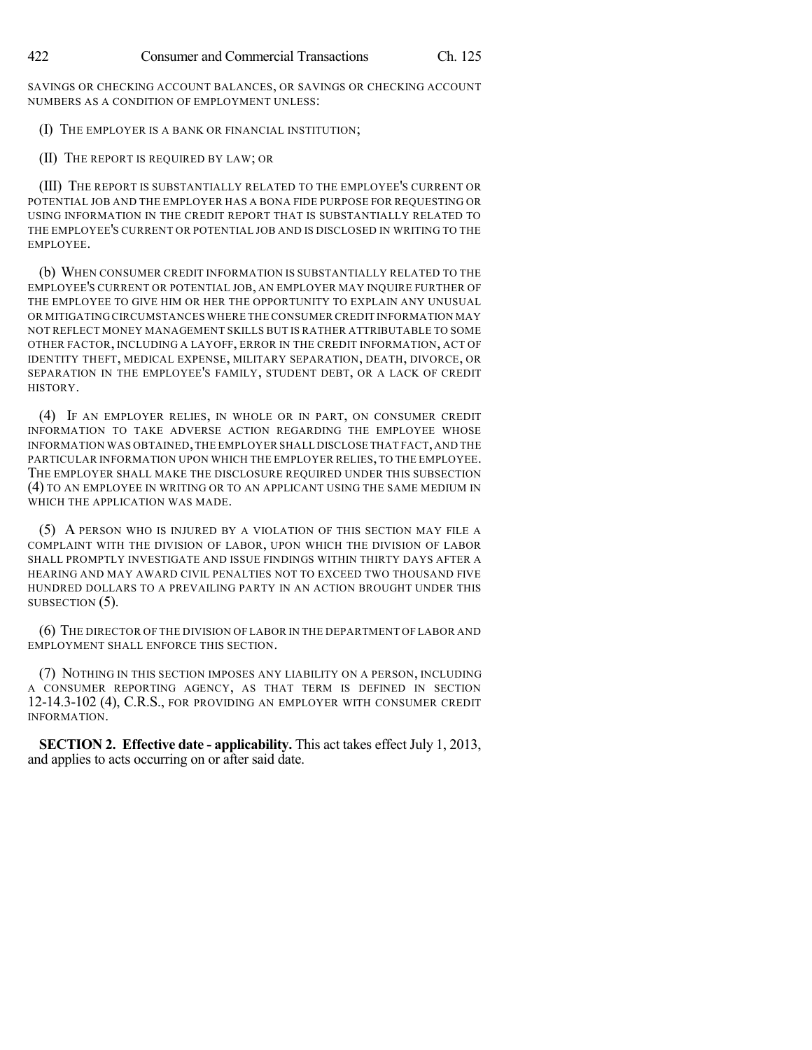SAVINGS OR CHECKING ACCOUNT BALANCES, OR SAVINGS OR CHECKING ACCOUNT NUMBERS AS A CONDITION OF EMPLOYMENT UNLESS:

- (I) THE EMPLOYER IS A BANK OR FINANCIAL INSTITUTION;
- (II) THE REPORT IS REQUIRED BY LAW; OR

(III) THE REPORT IS SUBSTANTIALLY RELATED TO THE EMPLOYEE'S CURRENT OR POTENTIAL JOB AND THE EMPLOYER HAS A BONA FIDE PURPOSE FOR REQUESTING OR USING INFORMATION IN THE CREDIT REPORT THAT IS SUBSTANTIALLY RELATED TO THE EMPLOYEE'S CURRENT OR POTENTIAL JOB AND IS DISCLOSED IN WRITING TO THE EMPLOYEE.

(b) WHEN CONSUMER CREDIT INFORMATION IS SUBSTANTIALLY RELATED TO THE EMPLOYEE'S CURRENT OR POTENTIAL JOB, AN EMPLOYER MAY INQUIRE FURTHER OF THE EMPLOYEE TO GIVE HIM OR HER THE OPPORTUNITY TO EXPLAIN ANY UNUSUAL OR MITIGATING CIRCUMSTANCES WHERE THE CONSUMER CREDIT INFORMATION MAY NOT REFLECT MONEY MANAGEMENT SKILLS BUT IS RATHER ATTRIBUTABLE TO SOME OTHER FACTOR, INCLUDING A LAYOFF, ERROR IN THE CREDIT INFORMATION, ACT OF IDENTITY THEFT, MEDICAL EXPENSE, MILITARY SEPARATION, DEATH, DIVORCE, OR SEPARATION IN THE EMPLOYEE'S FAMILY, STUDENT DEBT, OR A LACK OF CREDIT HISTORY.

(4) IF AN EMPLOYER RELIES, IN WHOLE OR IN PART, ON CONSUMER CREDIT INFORMATION TO TAKE ADVERSE ACTION REGARDING THE EMPLOYEE WHOSE INFORMATION WAS OBTAINED,THE EMPLOYER SHALL DISCLOSE THAT FACT,AND THE PARTICULAR INFORMATION UPON WHICH THE EMPLOYER RELIES, TO THE EMPLOYEE. THE EMPLOYER SHALL MAKE THE DISCLOSURE REQUIRED UNDER THIS SUBSECTION (4) TO AN EMPLOYEE IN WRITING OR TO AN APPLICANT USING THE SAME MEDIUM IN WHICH THE APPLICATION WAS MADE.

(5) A PERSON WHO IS INJURED BY A VIOLATION OF THIS SECTION MAY FILE A COMPLAINT WITH THE DIVISION OF LABOR, UPON WHICH THE DIVISION OF LABOR SHALL PROMPTLY INVESTIGATE AND ISSUE FINDINGS WITHIN THIRTY DAYS AFTER A HEARING AND MAY AWARD CIVIL PENALTIES NOT TO EXCEED TWO THOUSAND FIVE HUNDRED DOLLARS TO A PREVAILING PARTY IN AN ACTION BROUGHT UNDER THIS SUBSECTION  $(5)$ .

(6) THE DIRECTOR OF THE DIVISION OF LABOR IN THE DEPARTMENT OF LABOR AND EMPLOYMENT SHALL ENFORCE THIS SECTION.

(7) NOTHING IN THIS SECTION IMPOSES ANY LIABILITY ON A PERSON, INCLUDING A CONSUMER REPORTING AGENCY, AS THAT TERM IS DEFINED IN SECTION 12-14.3-102 (4), C.R.S., FOR PROVIDING AN EMPLOYER WITH CONSUMER CREDIT INFORMATION.

**SECTION 2. Effective date - applicability.** This act takes effect July 1, 2013, and applies to acts occurring on or after said date.